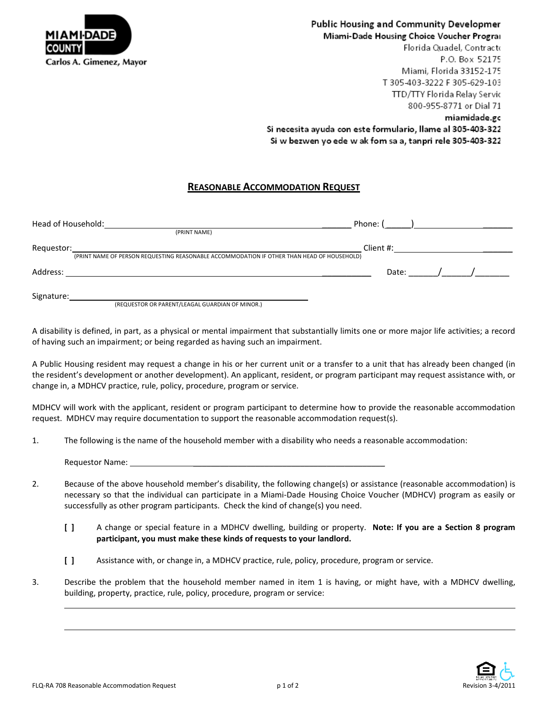

## Public Housing and Community Developmer Miami-Dade Housing Choice Voucher Prograi

Florida Quadel, Contracto P.O. Box 52175 Miami. Florida 33152-175 T 305-403-3222 F 305-629-103 TTD/TTY Florida Relay Servic 800-955-8771 or Dial 71 miamidade.gc Si necesita ayuda con este formulario, llame al 305-403-322 Si w bezwen yo ede w ak fom sa a, tanpri rele 305-403-322

## **REASONABLE ACCOMMODATION REQUEST**

| Head of Household:<br>(PRINT NAME) | Phone: (                                                                                                |  |
|------------------------------------|---------------------------------------------------------------------------------------------------------|--|
| Requestor:                         | Client #:<br>(PRINT NAME OF PERSON REQUESTING REASONABLE ACCOMMODATION IF OTHER THAN HEAD OF HOUSEHOLD) |  |
| Address:                           | Date:                                                                                                   |  |
| Signature:                         |                                                                                                         |  |

(REQUESTOR OR PARENT/LEAGAL GUARDIAN OF MINOR.)

A disability is defined, in part, as a physical or mental impairment that substantially limits one or more major life activities; a record of having such an impairment; or being regarded as having such an impairment.

A Public Housing resident may request a change in his or her current unit or a transfer to a unit that has already been changed (in the resident's development or another development). An applicant, resident, or program participant may request assistance with, or change in, a MDHCV practice, rule, policy, procedure, program or service.

MDHCV will work with the applicant, resident or program participant to determine how to provide the reasonable accommodation request. MDHCV may require documentation to support the reasonable accommodation request(s).

1. The following is the name of the household member with a disability who needs a reasonable accommodation:

Requestor Name:

- 2. Because of the above household member's disability, the following change(s) or assistance (reasonable accommodation) is necessary so that the individual can participate in a Miami-Dade Housing Choice Voucher (MDHCV) program as easily or successfully as other program participants. Check the kind of change(s) you need.
	- **[ ]** A change or special feature in a MDHCV dwelling, building or property. **Note: If you are a Section 8 program participant, you must make these kinds of requests to your landlord.**
	- **[ ]** Assistance with, or change in, a MDHCV practice, rule, policy, procedure, program or service.
- 3. Describe the problem that the household member named in item 1 is having, or might have, with a MDHCV dwelling, building, property, practice, rule, policy, procedure, program or service: